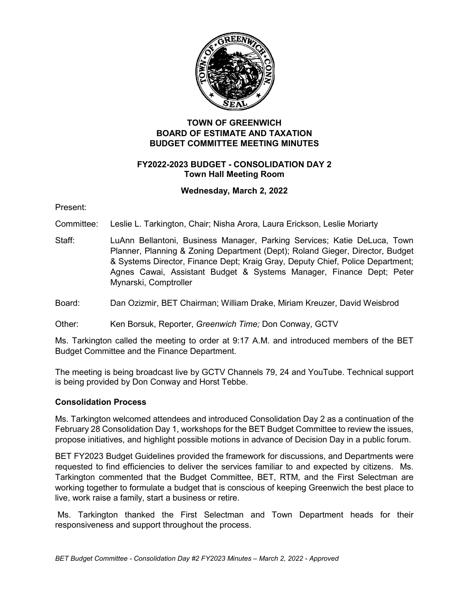

# **TOWN OF GREENWICH BOARD OF ESTIMATE AND TAXATION BUDGET COMMITTEE MEETING MINUTES**

### **FY2022-2023 BUDGET - CONSOLIDATION DAY 2 Town Hall Meeting Room**

### **Wednesday, March 2, 2022**

Present:

Committee: Leslie L. Tarkington, Chair; Nisha Arora, Laura Erickson, Leslie Moriarty

Staff: LuAnn Bellantoni, Business Manager, Parking Services; Katie DeLuca, Town Planner, Planning & Zoning Department (Dept); Roland Gieger, Director, Budget & Systems Director, Finance Dept; Kraig Gray, Deputy Chief, Police Department; Agnes Cawai, Assistant Budget & Systems Manager, Finance Dept; Peter Mynarski, Comptroller

Board: Dan Ozizmir, BET Chairman; William Drake, Miriam Kreuzer, David Weisbrod

Other: Ken Borsuk, Reporter, *Greenwich Time;* Don Conway, GCTV

Ms. Tarkington called the meeting to order at 9:17 A.M. and introduced members of the BET Budget Committee and the Finance Department.

The meeting is being broadcast live by GCTV Channels 79, 24 and YouTube. Technical support is being provided by Don Conway and Horst Tebbe.

### **Consolidation Process**

Ms. Tarkington welcomed attendees and introduced Consolidation Day 2 as a continuation of the February 28 Consolidation Day 1, workshops for the BET Budget Committee to review the issues, propose initiatives, and highlight possible motions in advance of Decision Day in a public forum.

BET FY2023 Budget Guidelines provided the framework for discussions, and Departments were requested to find efficiencies to deliver the services familiar to and expected by citizens. Ms. Tarkington commented that the Budget Committee, BET, RTM, and the First Selectman are working together to formulate a budget that is conscious of keeping Greenwich the best place to live, work raise a family, start a business or retire.

Ms. Tarkington thanked the First Selectman and Town Department heads for their responsiveness and support throughout the process.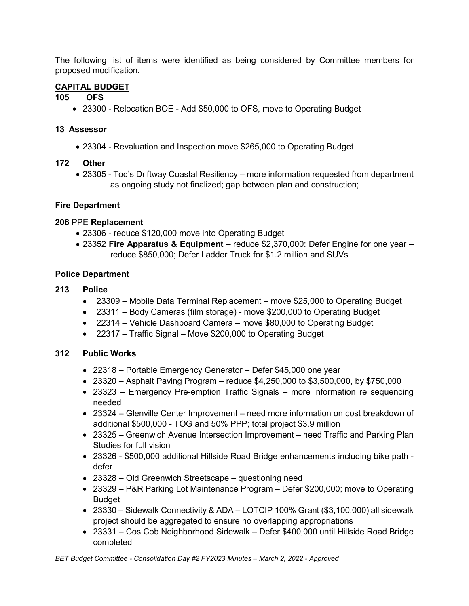The following list of items were identified as being considered by Committee members for proposed modification.

# **CAPITAL BUDGET**

### **105 OFS**

• 23300 - Relocation BOE - Add \$50,000 to OFS, move to Operating Budget

### **13 Assessor**

• 23304 - Revaluation and Inspection move \$265,000 to Operating Budget

# **172 Other**

• 23305 - Tod's Driftway Coastal Resiliency – more information requested from department as ongoing study not finalized; gap between plan and construction;

# **Fire Department**

# **206** PPE **Replacement**

- 23306 reduce \$120,000 move into Operating Budget
- 23352 **Fire Apparatus & Equipment** reduce \$2,370,000: Defer Engine for one year reduce \$850,000; Defer Ladder Truck for \$1.2 million and SUVs

# **Police Department**

# **213 Police**

- 23309 Mobile Data Terminal Replacement move \$25,000 to Operating Budget
- 23311 **–** Body Cameras (film storage) move \$200,000 to Operating Budget
- 22314 Vehicle Dashboard Camera move \$80,000 to Operating Budget
- 22317 Traffic Signal Move \$200,000 to Operating Budget

# **312 Public Works**

- 22318 Portable Emergency Generator Defer \$45,000 one year
- 23320 Asphalt Paving Program reduce  $$4,250,000$  to  $$3,500,000$ , by  $$750,000$
- 23323 Emergency Pre-emption Traffic Signals more information re sequencing needed
- 23324 Glenville Center Improvement need more information on cost breakdown of additional \$500,000 - TOG and 50% PPP; total project \$3.9 million
- 23325 Greenwich Avenue Intersection Improvement need Traffic and Parking Plan Studies for full vision
- 23326 \$500,000 additional Hillside Road Bridge enhancements including bike path defer
- 23328 Old Greenwich Streetscape questioning need
- 23329 P&R Parking Lot Maintenance Program Defer \$200,000; move to Operating Budget
- 23330 Sidewalk Connectivity & ADA LOTCIP 100% Grant (\$3,100,000) all sidewalk project should be aggregated to ensure no overlapping appropriations
- 23331 Cos Cob Neighborhood Sidewalk Defer \$400,000 until Hillside Road Bridge completed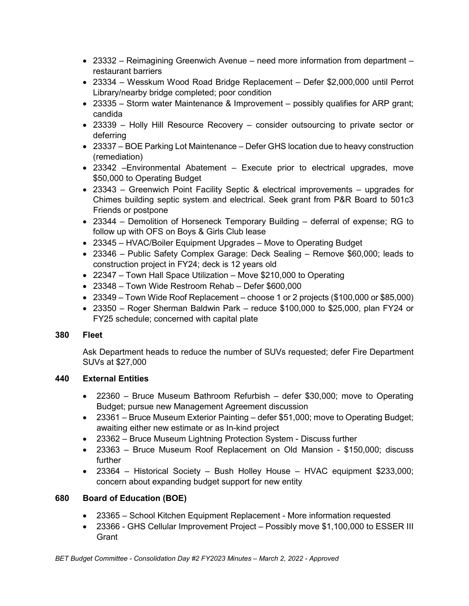- 23332 Reimagining Greenwich Avenue need more information from department restaurant barriers
- 23334 Wesskum Wood Road Bridge Replacement Defer \$2,000,000 until Perrot Library/nearby bridge completed; poor condition
- 23335 Storm water Maintenance & Improvement possibly qualifies for ARP grant; candida
- 23339 Holly Hill Resource Recovery consider outsourcing to private sector or deferring
- 23337 BOE Parking Lot Maintenance Defer GHS location due to heavy construction (remediation)
- 23342 –Environmental Abatement Execute prior to electrical upgrades, move \$50,000 to Operating Budget
- 23343 Greenwich Point Facility Septic & electrical improvements upgrades for Chimes building septic system and electrical. Seek grant from P&R Board to 501c3 Friends or postpone
- 23344 Demolition of Horseneck Temporary Building deferral of expense; RG to follow up with OFS on Boys & Girls Club lease
- 23345 HVAC/Boiler Equipment Upgrades Move to Operating Budget
- 23346 Public Safety Complex Garage: Deck Sealing Remove \$60,000; leads to construction project in FY24; deck is 12 years old
- 22347 Town Hall Space Utilization Move \$210,000 to Operating
- 23348 Town Wide Restroom Rehab Defer \$600,000
- 23349 Town Wide Roof Replacement choose 1 or 2 projects (\$100,000 or \$85,000)
- 23350 Roger Sherman Baldwin Park reduce \$100,000 to \$25,000, plan FY24 or FY25 schedule; concerned with capital plate

### **380 Fleet**

Ask Department heads to reduce the number of SUVs requested; defer Fire Department SUVs at \$27,000

# **440 External Entities**

- 22360 Bruce Museum Bathroom Refurbish defer \$30,000; move to Operating Budget; pursue new Management Agreement discussion
- 23361 Bruce Museum Exterior Painting defer \$51,000; move to Operating Budget; awaiting either new estimate or as In-kind project
- 23362 Bruce Museum Lightning Protection System Discuss further
- 23363 Bruce Museum Roof Replacement on Old Mansion \$150,000; discuss further
- 23364 Historical Society Bush Holley House HVAC equipment \$233,000; concern about expanding budget support for new entity

# **680 Board of Education (BOE)**

- 23365 School Kitchen Equipment Replacement More information requested
- 23366 GHS Cellular Improvement Project Possibly move \$1,100,000 to ESSER III Grant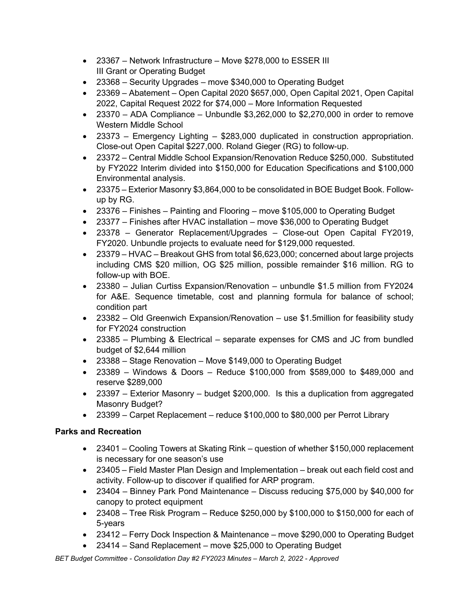- 23367 Network Infrastructure Move \$278,000 to ESSER III III Grant or Operating Budget
- 23368 Security Upgrades move \$340,000 to Operating Budget
- 23369 Abatement Open Capital 2020 \$657,000, Open Capital 2021, Open Capital 2022, Capital Request 2022 for \$74,000 – More Information Requested
- 23370 ADA Compliance Unbundle  $$3.262,000$  to  $$2.270,000$  in order to remove Western Middle School
- 23373 Emergency Lighting \$283,000 duplicated in construction appropriation. Close-out Open Capital \$227,000. Roland Gieger (RG) to follow-up.
- 23372 Central Middle School Expansion/Renovation Reduce \$250,000. Substituted by FY2022 Interim divided into \$150,000 for Education Specifications and \$100,000 Environmental analysis.
- 23375 Exterior Masonry \$3,864,000 to be consolidated in BOE Budget Book. Followup by RG.
- 23376 Finishes Painting and Flooring move \$105,000 to Operating Budget
- 23377 Finishes after HVAC installation move \$36,000 to Operating Budget
- 23378 Generator Replacement/Upgrades Close-out Open Capital FY2019, FY2020. Unbundle projects to evaluate need for \$129,000 requested.
- 23379 HVAC Breakout GHS from total \$6,623,000; concerned about large projects including CMS \$20 million, OG \$25 million, possible remainder \$16 million. RG to follow-up with BOE.
- 23380 Julian Curtiss Expansion/Renovation unbundle \$1.5 million from FY2024 for A&E. Sequence timetable, cost and planning formula for balance of school; condition part
- 23382 Old Greenwich Expansion/Renovation use \$1.5million for feasibility study for FY2024 construction
- 23385 Plumbing & Electrical separate expenses for CMS and JC from bundled budget of \$2,644 million
- 23388 Stage Renovation Move \$149,000 to Operating Budget
- 23389 Windows & Doors Reduce \$100,000 from \$589,000 to \$489,000 and reserve \$289,000
- 23397 Exterior Masonry budget \$200,000. Is this a duplication from aggregated Masonry Budget?
- 23399 Carpet Replacement reduce \$100,000 to \$80,000 per Perrot Library

# **Parks and Recreation**

- 23401 Cooling Towers at Skating Rink question of whether \$150,000 replacement is necessary for one season's use
- 23405 Field Master Plan Design and Implementation break out each field cost and activity. Follow-up to discover if qualified for ARP program.
- 23404 Binney Park Pond Maintenance Discuss reducing \$75,000 by \$40,000 for canopy to protect equipment
- 23408 Tree Risk Program Reduce  $$250,000$  by  $$100,000$  to  $$150,000$  for each of 5-years
- 23412 Ferry Dock Inspection & Maintenance move \$290,000 to Operating Budget
- 23414 Sand Replacement move \$25,000 to Operating Budget